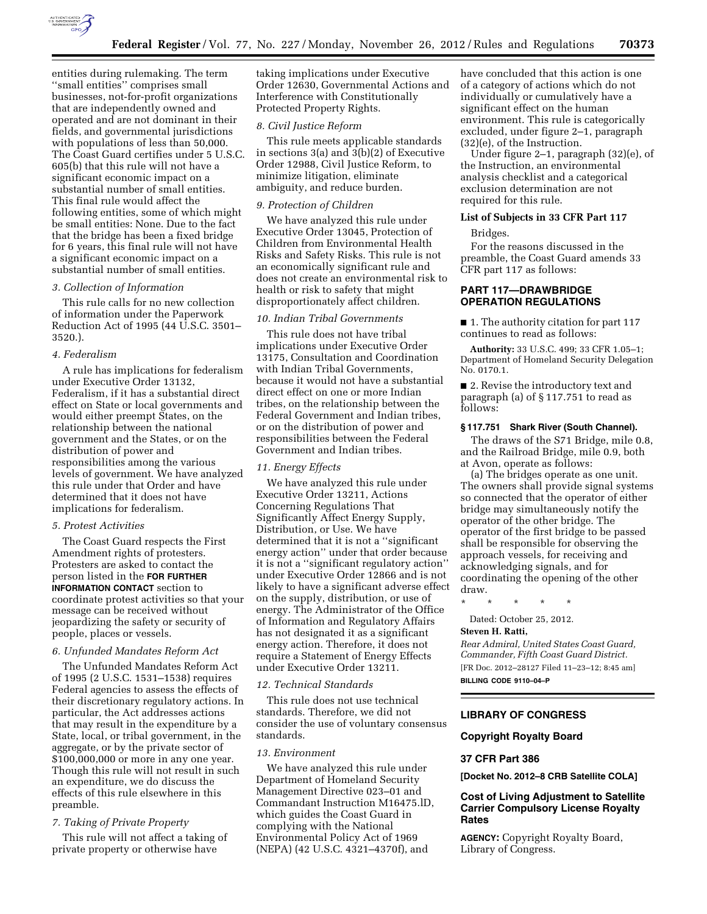

entities during rulemaking. The term ''small entities'' comprises small businesses, not-for-profit organizations that are independently owned and operated and are not dominant in their fields, and governmental jurisdictions with populations of less than 50,000. The Coast Guard certifies under 5 U.S.C. 605(b) that this rule will not have a significant economic impact on a substantial number of small entities. This final rule would affect the following entities, some of which might be small entities: None. Due to the fact that the bridge has been a fixed bridge for 6 years, this final rule will not have a significant economic impact on a substantial number of small entities.

## *3. Collection of Information*

This rule calls for no new collection of information under the Paperwork Reduction Act of 1995 (44 U.S.C. 3501– 3520.).

#### *4. Federalism*

A rule has implications for federalism under Executive Order 13132, Federalism, if it has a substantial direct effect on State or local governments and would either preempt States, on the relationship between the national government and the States, or on the distribution of power and responsibilities among the various levels of government. We have analyzed this rule under that Order and have determined that it does not have implications for federalism.

## *5. Protest Activities*

The Coast Guard respects the First Amendment rights of protesters. Protesters are asked to contact the person listed in the **FOR FURTHER INFORMATION CONTACT** section to coordinate protest activities so that your message can be received without jeopardizing the safety or security of people, places or vessels.

#### *6. Unfunded Mandates Reform Act*

The Unfunded Mandates Reform Act of 1995 (2 U.S.C. 1531–1538) requires Federal agencies to assess the effects of their discretionary regulatory actions. In particular, the Act addresses actions that may result in the expenditure by a State, local, or tribal government, in the aggregate, or by the private sector of \$100,000,000 or more in any one year. Though this rule will not result in such an expenditure, we do discuss the effects of this rule elsewhere in this preamble.

# *7. Taking of Private Property*

This rule will not affect a taking of private property or otherwise have

taking implications under Executive Order 12630, Governmental Actions and Interference with Constitutionally Protected Property Rights.

#### *8. Civil Justice Reform*

This rule meets applicable standards in sections 3(a) and 3(b)(2) of Executive Order 12988, Civil Justice Reform, to minimize litigation, eliminate ambiguity, and reduce burden.

#### *9. Protection of Children*

We have analyzed this rule under Executive Order 13045, Protection of Children from Environmental Health Risks and Safety Risks. This rule is not an economically significant rule and does not create an environmental risk to health or risk to safety that might disproportionately affect children.

## *10. Indian Tribal Governments*

This rule does not have tribal implications under Executive Order 13175, Consultation and Coordination with Indian Tribal Governments, because it would not have a substantial direct effect on one or more Indian tribes, on the relationship between the Federal Government and Indian tribes, or on the distribution of power and responsibilities between the Federal Government and Indian tribes.

## *11. Energy Effects*

We have analyzed this rule under Executive Order 13211, Actions Concerning Regulations That Significantly Affect Energy Supply, Distribution, or Use. We have determined that it is not a ''significant energy action" under that order because it is not a ''significant regulatory action'' under Executive Order 12866 and is not likely to have a significant adverse effect on the supply, distribution, or use of energy. The Administrator of the Office of Information and Regulatory Affairs has not designated it as a significant energy action. Therefore, it does not require a Statement of Energy Effects under Executive Order 13211.

#### *12. Technical Standards*

This rule does not use technical standards. Therefore, we did not consider the use of voluntary consensus standards.

## *13. Environment*

We have analyzed this rule under Department of Homeland Security Management Directive 023–01 and Commandant Instruction M16475.lD, which guides the Coast Guard in complying with the National Environmental Policy Act of 1969 (NEPA) (42 U.S.C. 4321–4370f), and

have concluded that this action is one of a category of actions which do not individually or cumulatively have a significant effect on the human environment. This rule is categorically excluded, under figure 2–1, paragraph (32)(e), of the Instruction.

Under figure 2–1, paragraph (32)(e), of the Instruction, an environmental analysis checklist and a categorical exclusion determination are not required for this rule.

## **List of Subjects in 33 CFR Part 117**

Bridges.

For the reasons discussed in the preamble, the Coast Guard amends 33 CFR part 117 as follows:

# **PART 117—DRAWBRIDGE OPERATION REGULATIONS**

■ 1. The authority citation for part 117 continues to read as follows:

**Authority:** 33 U.S.C. 499; 33 CFR 1.05–1; Department of Homeland Security Delegation No. 0170.1.

■ 2. Revise the introductory text and paragraph (a) of § 117.751 to read as follows:

## **§ 117.751 Shark River (South Channel).**

The draws of the S71 Bridge, mile 0.8, and the Railroad Bridge, mile 0.9, both at Avon, operate as follows:

(a) The bridges operate as one unit. The owners shall provide signal systems so connected that the operator of either bridge may simultaneously notify the operator of the other bridge. The operator of the first bridge to be passed shall be responsible for observing the approach vessels, for receiving and acknowledging signals, and for coordinating the opening of the other draw.

\* \* \* \* \*

Dated: October 25, 2012.

## **Steven H. Ratti,**

*Rear Admiral, United States Coast Guard, Commander, Fifth Coast Guard District.*  [FR Doc. 2012–28127 Filed 11–23–12; 8:45 am] **BILLING CODE 9110–04–P** 

## **LIBRARY OF CONGRESS**

## **Copyright Royalty Board**

#### **37 CFR Part 386**

**[Docket No. 2012–8 CRB Satellite COLA]** 

## **Cost of Living Adjustment to Satellite Carrier Compulsory License Royalty Rates**

**AGENCY:** Copyright Royalty Board, Library of Congress.